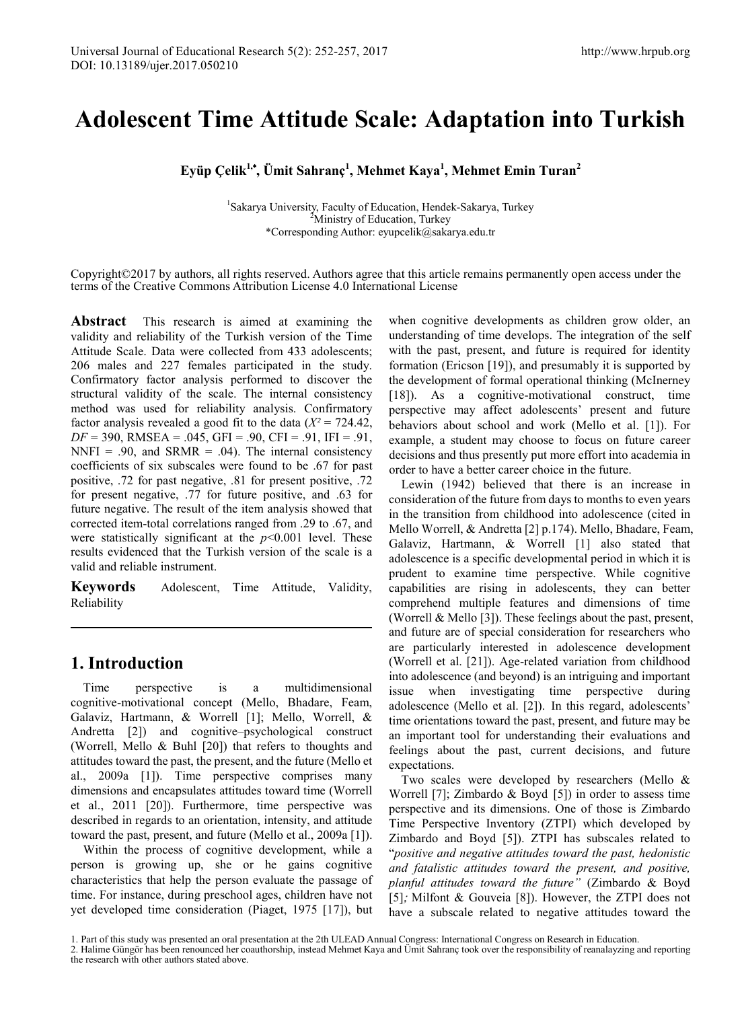# **Adolescent Time Attitude Scale: Adaptation into Turkish**

**Eyüp Çelik1,**\* **, Ümit Sahranç<sup>1</sup> , Mehmet Kaya<sup>1</sup> , Mehmet Emin Turan2**

<sup>1</sup>Sakarya University, Faculty of Education, Hendek-Sakarya, Turkey <sup>2</sup>Ministry of Education, Turkey \*Corresponding Author: eyupcelik@sakarya.edu.tr

Copyright©2017 by authors, all rights reserved. Authors agree that this article remains permanently open access under the terms of the Creative Commons Attribution License 4.0 International License

**Abstract** This research is aimed at examining the validity and reliability of the Turkish version of the Time Attitude Scale. Data were collected from 433 adolescents; 206 males and 227 females participated in the study. Confirmatory factor analysis performed to discover the structural validity of the scale. The internal consistency method was used for reliability analysis. Confirmatory factor analysis revealed a good fit to the data  $(X^2 = 724.42)$ ,  $DF = 390$ , RMSEA = .045, GFI = .90, CFI = .91, IFI = .91, NNFI = .90, and SRMR = .04). The internal consistency coefficients of six subscales were found to be .67 for past positive, .72 for past negative, .81 for present positive, .72 for present negative, .77 for future positive, and .63 for future negative. The result of the item analysis showed that corrected item-total correlations ranged from .29 to .67, and were statistically significant at the *p*<0.001 level. These results evidenced that the Turkish version of the scale is a valid and reliable instrument.

**Keywords** Adolescent, Time Attitude, Validity, Reliability

### **1. Introduction**

Time perspective is a multidimensional cognitive-motivational concept (Mello, Bhadare, Feam, Galaviz, Hartmann, & Worrell [1]; Mello, Worrell, & Andretta [2]) and cognitive–psychological construct (Worrell, Mello & Buhl [20]) that refers to thoughts and attitudes toward the past, the present, and the future (Mello et al., 2009a [1]). Time perspective comprises many dimensions and encapsulates attitudes toward time (Worrell et al., 2011 [20]). Furthermore, time perspective was described in regards to an orientation, intensity, and attitude toward the past, present, and future (Mello et al., 2009a [1]).

Within the process of cognitive development, while a person is growing up, she or he gains cognitive characteristics that help the person evaluate the passage of time. For instance, during preschool ages, children have not yet developed time consideration (Piaget, 1975 [17]), but when cognitive developments as children grow older, an understanding of time develops. The integration of the self with the past, present, and future is required for identity formation (Ericson [19]), and presumably it is supported by the development of formal operational thinking (McInerney [18]). As a cognitive-motivational construct, time perspective may affect adolescents' present and future behaviors about school and work (Mello et al. [1]). For example, a student may choose to focus on future career decisions and thus presently put more effort into academia in order to have a better career choice in the future.

Lewin (1942) believed that there is an increase in consideration of the future from days to months to even years in the transition from childhood into adolescence (cited in Mello Worrell, & Andretta [2] p.174). Mello, Bhadare, Feam, Galaviz, Hartmann, & Worrell [1] also stated that adolescence is a specific developmental period in which it is prudent to examine time perspective. While cognitive capabilities are rising in adolescents, they can better comprehend multiple features and dimensions of time (Worrell & Mello [3]). These feelings about the past, present, and future are of special consideration for researchers who are particularly interested in adolescence development (Worrell et al. [21]). Age-related variation from childhood into adolescence (and beyond) is an intriguing and important issue when investigating time perspective during adolescence (Mello et al. [2]). In this regard, adolescents' time orientations toward the past, present, and future may be an important tool for understanding their evaluations and feelings about the past, current decisions, and future expectations.

Two scales were developed by researchers (Mello & Worrell [7]; Zimbardo & Boyd [5]) in order to assess time perspective and its dimensions. One of those is Zimbardo Time Perspective Inventory (ZTPI) which developed by Zimbardo and Boyd [5]). ZTPI has subscales related to "*positive and negative attitudes toward the past, hedonistic and fatalistic attitudes toward the present, and positive, planful attitudes toward the future"* (Zimbardo & Boyd [5]; Milfont & Gouveia [8]). However, the ZTPI does not have a subscale related to negative attitudes toward the

<sup>1.</sup> Part of this study was presented an oral presentation at the 2th ULEAD Annual Congress: International Congress on Research in Education.

<sup>2.</sup> Halime Güngör has been renounced her coauthorship, instead Mehmet Kaya and Ümit Sahranç took over the responsibility of reanalayzing and reporting the research with other authors stated above.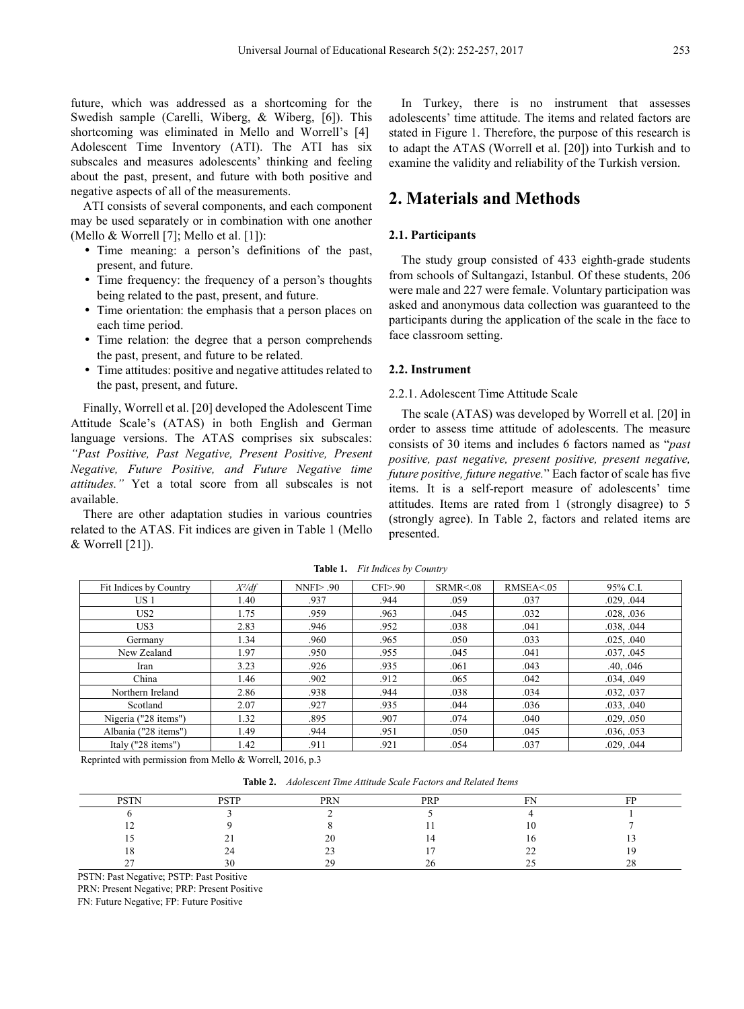future, which was addressed as a shortcoming for the Swedish sample (Carelli, Wiberg, & Wiberg, [6]). This shortcoming was eliminated in Mello and Worrell's [4] Adolescent Time Inventory (ATI). The ATI has six subscales and measures adolescents' thinking and feeling about the past, present, and future with both positive and negative aspects of all of the measurements.

ATI consists of several components, and each component may be used separately or in combination with one another (Mello  $&$  Worrell [7]; Mello et al. [1]):

- Time meaning: a person's definitions of the past, present, and future.
- Time frequency: the frequency of a person's thoughts being related to the past, present, and future.
- Time orientation: the emphasis that a person places on each time period.
- Time relation: the degree that a person comprehends the past, present, and future to be related.
- Time attitudes: positive and negative attitudes related to the past, present, and future.

Finally, Worrell et al. [20] developed the Adolescent Time Attitude Scale's (ATAS) in both English and German language versions. The ATAS comprises six subscales: *"Past Positive, Past Negative, Present Positive, Present Negative, Future Positive, and Future Negative time attitudes."* Yet a total score from all subscales is not available.

There are other adaptation studies in various countries related to the ATAS. Fit indices are given in Table 1 (Mello & Worrell [21]).

In Turkey, there is no instrument that assesses adolescents' time attitude. The items and related factors are stated in Figure 1. Therefore, the purpose of this research is to adapt the ATAS (Worrell et al. [20]) into Turkish and to examine the validity and reliability of the Turkish version.

# **2. Materials and Methods**

### **2.1. Participants**

The study group consisted of 433 eighth-grade students from schools of Sultangazi, Istanbul. Of these students, 206 were male and 227 were female. Voluntary participation was asked and anonymous data collection was guaranteed to the participants during the application of the scale in the face to face classroom setting.

### **2.2. Instrument**

### 2.2.1. Adolescent Time Attitude Scale

The scale (ATAS) was developed by Worrell et al. [20] in order to assess time attitude of adolescents. The measure consists of 30 items and includes 6 factors named as "*past positive, past negative, present positive, present negative, future positive, future negative.*" Each factor of scale has five items. It is a self-report measure of adolescents' time attitudes. Items are rated from 1 (strongly disagree) to 5 (strongly agree). In Table 2, factors and related items are presented.

| Fit Indices by Country | $X^2/df$ | $NNF$ $> 90$ | CFI>90 | SRMR < 08 | RMSEA < 05 | 95% C.I.   |
|------------------------|----------|--------------|--------|-----------|------------|------------|
| US <sub>1</sub>        | 1.40     | .937         | .944   | .059      | .037       | .029, .044 |
| US <sub>2</sub>        | 1.75     | .959         | .963   | .045      | .032       | .028, .036 |
| US3                    | 2.83     | .946         | .952   | .038      | .041       | .038, .044 |
| Germany                | 1.34     | .960         | .965   | .050      | .033       | .025, .040 |
| New Zealand            | 1.97     | .950         | .955   | .045      | .041       | .037, .045 |
| Iran                   | 3.23     | .926         | .935   | .061      | .043       | .40, .046  |
| China                  | 1.46     | .902         | .912   | .065      | .042       | .034, .049 |
| Northern Ireland       | 2.86     | .938         | .944   | .038      | .034       | .032, .037 |
| Scotland               | 2.07     | .927         | .935   | .044      | .036       | .033, .040 |
| Nigeria ("28 items")   | 1.32     | .895         | .907   | .074      | .040       | .029. .050 |
| Albania ("28 items")   | 1.49     | .944         | .951   | .050      | .045       | .036, .053 |
| Italy ("28 items")     | 1.42     | .911         | .921   | .054      | .037       | .029, .044 |

**Table 1.** *Fit Indices by Country*

Reprinted with permission from Mello & Worrell, 2016, p.3

**Table 2.** *Adolescent Time Attitude Scale Factors and Related Items*

| <b>DCTN</b> | <b>DOTT</b> | PRN | <b>DDD</b><br>n | -- | <b>TID</b> |
|-------------|-------------|-----|-----------------|----|------------|
|             |             |     |                 |    |            |
| . .         |             |     |                 |    |            |
|             |             | 20  |                 |    |            |
| 1 L         | ~−          | رے  |                 | -- |            |
| ~~          |             | 20  |                 |    |            |

PSTN: Past Negative; PSTP: Past Positive

PRN: Present Negative; PRP: Present Positive

FN: Future Negative; FP: Future Positive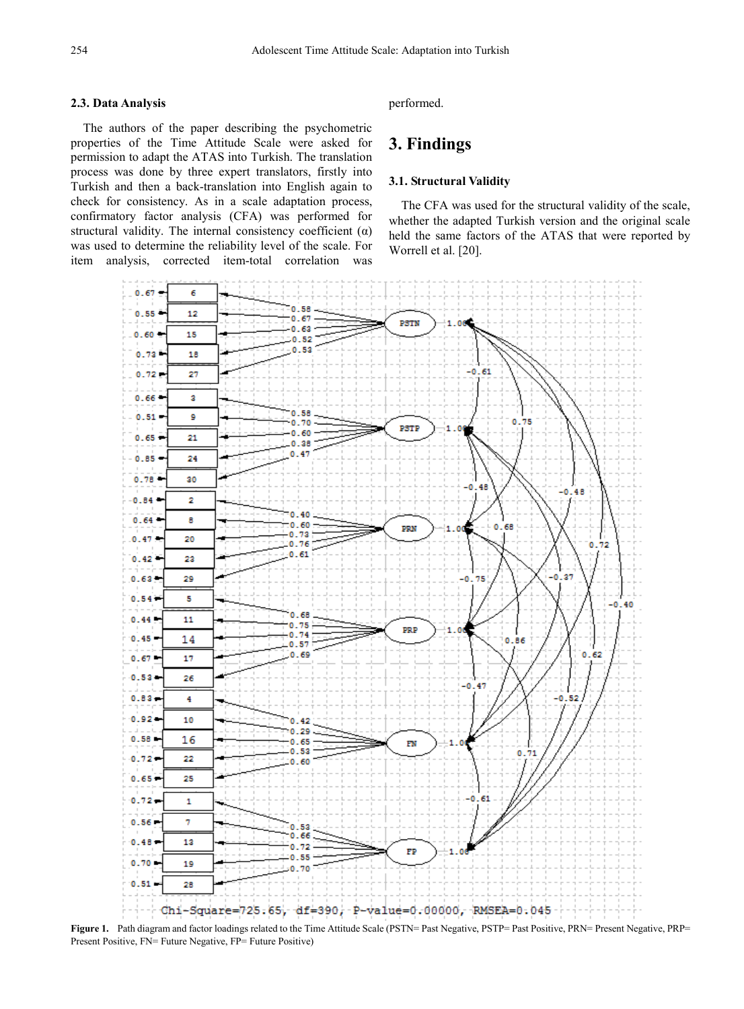### **2.3. Data Analysis**

The authors of the paper describing the psychometric properties of the Time Attitude Scale were asked for permission to adapt the ATAS into Turkish. The translation process was done by three expert translators, firstly into Turkish and then a back-translation into English again to check for consistency. As in a scale adaptation process, confirmatory factor analysis (CFA) was performed for structural validity. The internal consistency coefficient  $(\alpha)$ was used to determine the reliability level of the scale. For item analysis, corrected item-total correlation was

performed.

# **3. Findings**

### **3.1. Structural Validity**

The CFA was used for the structural validity of the scale, whether the adapted Turkish version and the original scale held the same factors of the ATAS that were reported by Worrell et al. [20].



**Figure 1.** Path diagram and factor loadings related to the Time Attitude Scale (PSTN= Past Negative, PSTP= Past Positive, PRN= Present Negative, PRP= Present Positive, FN= Future Negative, FP= Future Positive)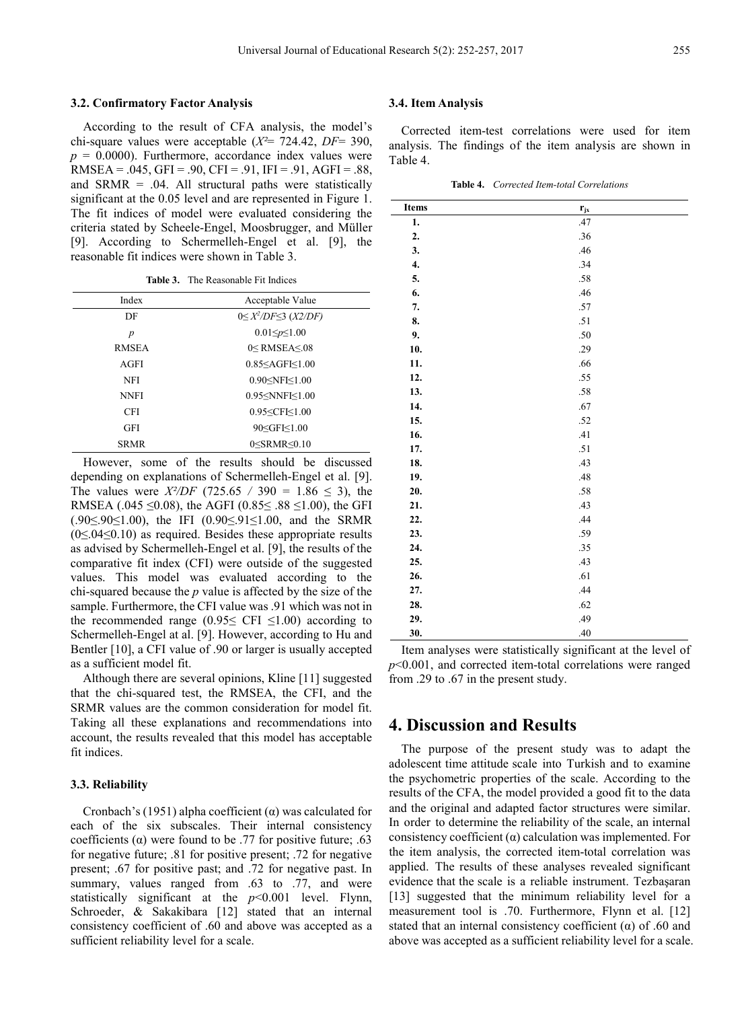According to the result of CFA analysis, the model's chi-square values were acceptable (*X²*= 724.42, *DF*= 390,  $p = 0.0000$ . Furthermore, accordance index values were RMSEA =  $.045$ , GFI =  $.90$ , CFI =  $.91$ , IFI =  $.91$ , AGFI =  $.88$ , and  $SRMR = .04$ . All structural paths were statistically significant at the 0.05 level and are represented in Figure 1. The fit indices of model were evaluated considering the criteria stated by Scheele-Engel, Moosbrugger, and Müller [9]. According to Schermelleh-Engel et al. [9], the reasonable fit indices were shown in Table 3.

**Table 3.** The Reasonable Fit Indices

| Index        | Acceptable Value                 |
|--------------|----------------------------------|
| DF           | $0 \leq X^2/DF \leq 3$ (X2/DF)   |
| p            | $0.01 \le p \le 1.00$            |
| <b>RMSEA</b> | $0$ < RMSEA < $08$               |
| AGFI         | $0.85 <$ AGFI $<$ 1.00           |
| <b>NFI</b>   | $0.90<$ NFI $\leq 1.00$          |
| <b>NNFI</b>  | $0.95<$ NNFI $<$ 1.00            |
| <b>CFI</b>   | 0.95 < CF < 1.00                 |
| GFI          | 90 <gfi<1.00< td=""></gfi<1.00<> |
| <b>SRMR</b>  | $0 <$ SRMR $< 0.10$              |
|              |                                  |

However, some of the results should be discussed depending on explanations of Schermelleh-Engel et al. [9]. The values were *X<sup>2</sup>/DF* (725.65 / 390 = 1.86  $\leq$  3), the RMSEA (.045 ≤0.08), the AGFI (0.85 ≤ .88 ≤ 1.00), the GFI (.90≤.90≤1.00), the IFI (0.90≤.91≤1.00, and the SRMR (0≤.04≤0.10) as required. Besides these appropriate results as advised by Schermelleh-Engel et al. [9], the results of the comparative fit index (CFI) were outside of the suggested values. This model was evaluated according to the chi-squared because the *p* value is affected by the size of the sample. Furthermore, the CFI value was .91 which was not in the recommended range  $(0.95 \leq CFI \leq 1.00)$  according to Schermelleh-Engel at al. [9]. However, according to Hu and Bentler [10], a CFI value of .90 or larger is usually accepted as a sufficient model fit.

Although there are several opinions, Kline [11] suggested that the chi-squared test, the RMSEA, the CFI, and the SRMR values are the common consideration for model fit. Taking all these explanations and recommendations into account, the results revealed that this model has acceptable fit indices.

#### **3.3. Reliability**

Cronbach's (1951) alpha coefficient  $(\alpha)$  was calculated for each of the six subscales. Their internal consistency coefficients ( $\alpha$ ) were found to be .77 for positive future; .63 for negative future; .81 for positive present; .72 for negative present; .67 for positive past; and .72 for negative past. In summary, values ranged from .63 to .77, and were statistically significant at the *p*<0.001 level. Flynn, Schroeder, & Sakakibara [12] stated that an internal consistency coefficient of .60 and above was accepted as a sufficient reliability level for a scale.

#### **3.4. Item Analysis**

Corrected item-test correlations were used for item analysis. The findings of the item analysis are shown in Table 4.

**Table 4.** *Corrected Item-total Correlations*

| Items          | $r_{jx}$ |
|----------------|----------|
| $\mathbf{1}$ . | .47      |
| 2.             | .36      |
| 3.             | .46      |
| 4.             | .34      |
| 5.             | .58      |
| 6.             | .46      |
| 7.             | $.57\,$  |
| 8.             | $.51$    |
| 9.             | .50      |
| 10.            | .29      |
| 11.            | .66      |
| 12.            | .55      |
| 13.            | .58      |
| 14.            | .67      |
| 15.            | .52      |
| 16.            | .41      |
| 17.            | .51      |
| 18.            | .43      |
| 19.            | .48      |
| 20.            | .58      |
| 21.            | .43      |
| 22.            | .44      |
| 23.            | .59      |
| 24.            | .35      |
| 25.            | .43      |
| 26.            | .61      |
| 27.            | .44      |
| 28.            | .62      |
| 29.            | .49      |
| 30.            | .40      |

Item analyses were statistically significant at the level of *p*<0.001, and corrected item-total correlations were ranged from .29 to .67 in the present study.

### **4. Discussion and Results**

The purpose of the present study was to adapt the adolescent time attitude scale into Turkish and to examine the psychometric properties of the scale. According to the results of the CFA, the model provided a good fit to the data and the original and adapted factor structures were similar. In order to determine the reliability of the scale, an internal consistency coefficient  $(\alpha)$  calculation was implemented. For the item analysis, the corrected item-total correlation was applied. The results of these analyses revealed significant evidence that the scale is a reliable instrument. Tezbaşaran [13] suggested that the minimum reliability level for a measurement tool is .70. Furthermore, Flynn et al. [12] stated that an internal consistency coefficient  $(\alpha)$  of .60 and above was accepted as a sufficient reliability level for a scale.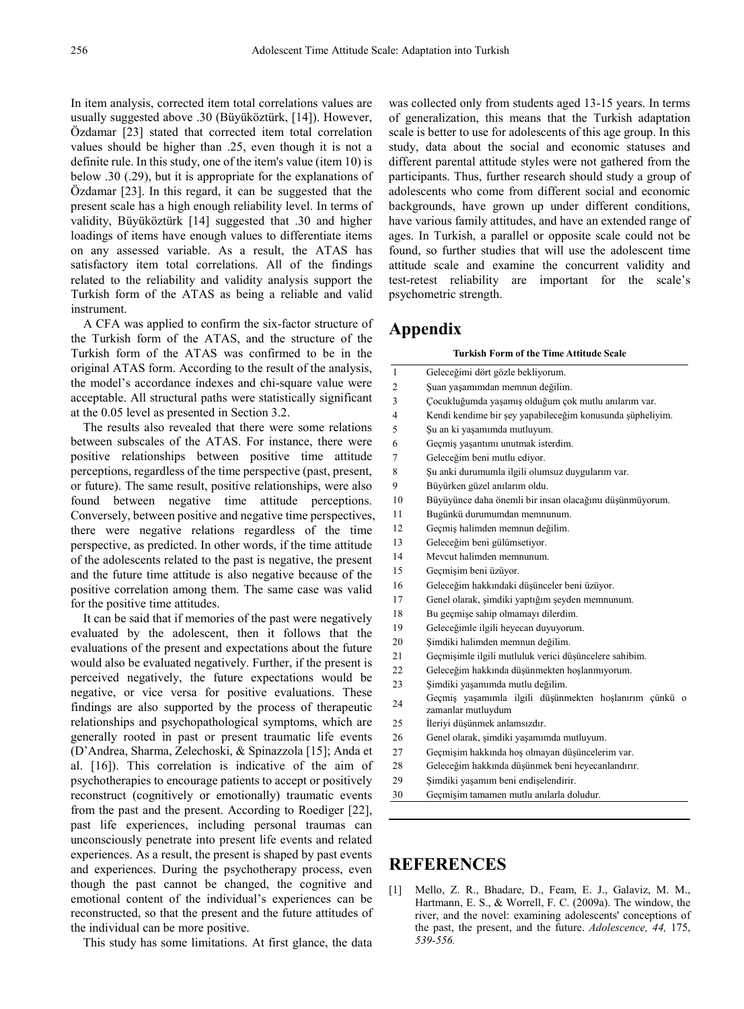In item analysis, corrected item total correlations values are usually suggested above .30 (Büyüköztürk, [14]). However, Özdamar [23] stated that corrected item total correlation values should be higher than .25, even though it is not a definite rule. In this study, one of the item's value (item 10) is below .30 (.29), but it is appropriate for the explanations of Özdamar [23]. In this regard, it can be suggested that the present scale has a high enough reliability level. In terms of validity, Büyüköztürk [14] suggested that .30 and higher loadings of items have enough values to differentiate items on any assessed variable. As a result, the ATAS has satisfactory item total correlations. All of the findings related to the reliability and validity analysis support the Turkish form of the ATAS as being a reliable and valid instrument.

A CFA was applied to confirm the six-factor structure of the Turkish form of the ATAS, and the structure of the Turkish form of the ATAS was confirmed to be in the original ATAS form. According to the result of the analysis, the model's accordance indexes and chi-square value were acceptable. All structural paths were statistically significant at the 0.05 level as presented in Section 3.2.

The results also revealed that there were some relations between subscales of the ATAS. For instance, there were positive relationships between positive time attitude perceptions, regardless of the time perspective (past, present, or future). The same result, positive relationships, were also found between negative time attitude perceptions. Conversely, between positive and negative time perspectives, there were negative relations regardless of the time perspective, as predicted. In other words, if the time attitude of the adolescents related to the past is negative, the present and the future time attitude is also negative because of the positive correlation among them. The same case was valid for the positive time attitudes.

It can be said that if memories of the past were negatively evaluated by the adolescent, then it follows that the evaluations of the present and expectations about the future would also be evaluated negatively. Further, if the present is perceived negatively, the future expectations would be negative, or vice versa for positive evaluations. These findings are also supported by the process of therapeutic relationships and psychopathological symptoms, which are generally rooted in past or present traumatic life events (D'Andrea, Sharma, Zelechoski, & Spinazzola [15]; Anda et al. [16]). This correlation is indicative of the aim of psychotherapies to encourage patients to accept or positively reconstruct (cognitively or emotionally) traumatic events from the past and the present. According to Roediger [22], past life experiences, including personal traumas can unconsciously penetrate into present life events and related experiences. As a result, the present is shaped by past events and experiences. During the psychotherapy process, even though the past cannot be changed, the cognitive and emotional content of the individual's experiences can be reconstructed, so that the present and the future attitudes of the individual can be more positive.

This study has some limitations. At first glance, the data

was collected only from students aged 13-15 years. In terms of generalization, this means that the Turkish adaptation scale is better to use for adolescents of this age group. In this study, data about the social and economic statuses and different parental attitude styles were not gathered from the participants. Thus, further research should study a group of adolescents who come from different social and economic backgrounds, have grown up under different conditions, have various family attitudes, and have an extended range of ages. In Turkish, a parallel or opposite scale could not be found, so further studies that will use the adolescent time attitude scale and examine the concurrent validity and test-retest reliability are important for the scale's psychometric strength.

### **Appendix**

**Turkish Form of the Time Attitude Scale**

| $\mathbf{1}$   | Geleceğimi dört gözle bekliyorum.                                            |
|----------------|------------------------------------------------------------------------------|
| $\overline{c}$ | Şuan yaşamımdan memnun değilim.                                              |
| 3              | Çocukluğumda yaşamış olduğum çok mutlu anılarım var.                         |
| $\overline{4}$ | Kendi kendime bir şey yapabileceğim konusunda şüpheliyim.                    |
| 5              | Su an ki yaşamımda mutluyum.                                                 |
| 6              | Geçmiş yaşantımı unutmak isterdim.                                           |
| 7              | Geleceğim beni mutlu ediyor.                                                 |
| 8              | Su anki durumumla ilgili olumsuz duygularım var.                             |
| 9              | Büyürken güzel anılarım oldu.                                                |
| 10             | Büyüyünce daha önemli bir insan olacağımı düşünmüyorum.                      |
| 11             | Bugünkü durumumdan memnunum.                                                 |
| 12             | Geçmiş halimden memnun değilim.                                              |
| 13             | Geleceğim beni gülümsetiyor.                                                 |
| 14             | Mevcut halimden memnunum.                                                    |
| 15             | Geçmişim beni üzüyor.                                                        |
| 16             | Geleceğim hakkındaki düşünceler beni üzüyor.                                 |
| 17             | Genel olarak, simdiki yaptığım seyden memnunum.                              |
| 18             | Bu geçmişe sahip olmamayı dilerdim.                                          |
| 19             | Geleceğimle ilgili heyecan duyuyorum.                                        |
| 20             | Şimdiki halimden memnun değilim.                                             |
| 21             | Geçmişimle ilgili mutluluk verici düşüncelere sahibim.                       |
| 22             | Geleceğim hakkında düşünmekten hoşlanmıyorum.                                |
| 23             | Şimdiki yaşamımda mutlu değilim.                                             |
| 24             | Geçmiş yaşamımla ilgili düşünmekten hoşlanırım çünkü o<br>zamanlar mutluydum |
| 25             | İleriyi düşünmek anlamsızdır.                                                |
| 26             | Genel olarak, şimdiki yaşamımda mutluyum.                                    |
| 27             | Geçmişim hakkında hoş olmayan düşüncelerim var.                              |
| 28             | Geleceğim hakkında düşünmek beni heyecanlandırır.                            |
| 29             | Şimdiki yaşamım beni endişelendirir.                                         |
| 30             | Geçmişim tamamen mutlu anılarla doludur.                                     |

# **REFERENCES**

[1] Mello, Z. R., Bhadare, D., Feam, E. J., Galaviz, M. M., Hartmann, E. S., & Worrell, F. C. (2009a). The window, the river, and the novel: examining adolescents' conceptions of the past, the present, and the future. *Adolescence, 44,* 175, *539-556.*